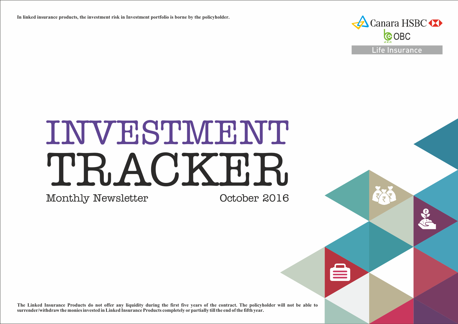**In linked insurance products, the investment risk in Investment portfolio is borne by the policyholder.**



# INVESTMENT TRACKER. October 2016

Monthly Newsletter

**The Linked Insurance Products do not offer any liquidity during the first five years of the contract. The policyholder will not be able to surrender/withdraw the monies invested in Linked Insurance Products completely or partially till the end of the fifth year.**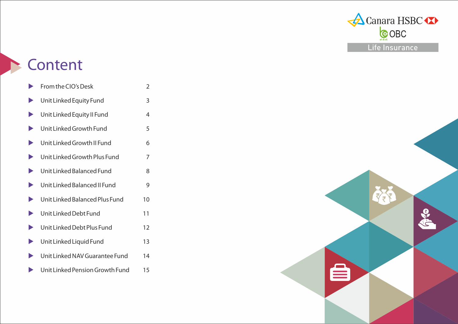

## **Content**

|                       | From the CIO's Desk             | 2  |
|-----------------------|---------------------------------|----|
|                       | Unit Linked Equity Fund         | 3  |
| $\blacktriangleright$ | Unit Linked Equity II Fund      | 4  |
| $\blacktriangleright$ | Unit Linked Growth Fund         | 5  |
| $\blacktriangleright$ | Unit Linked Growth II Fund      | 6  |
|                       | Unit Linked Growth Plus Fund    | 7  |
|                       | Unit Linked Balanced Fund       | 8  |
| $\blacktriangleright$ | Unit Linked Balanced II Fund    | 9  |
| $\blacktriangleright$ | Unit Linked Balanced Plus Fund  | 10 |
| $\blacktriangleright$ | Unit Linked Debt Fund           | 11 |
|                       | Unit Linked Debt Plus Fund      | 12 |
| $\blacktriangleright$ | Unit Linked Liquid Fund         | 13 |
|                       | Unit Linked NAV Guarantee Fund  | 14 |
|                       | Unit Linked Pension Growth Fund | 15 |

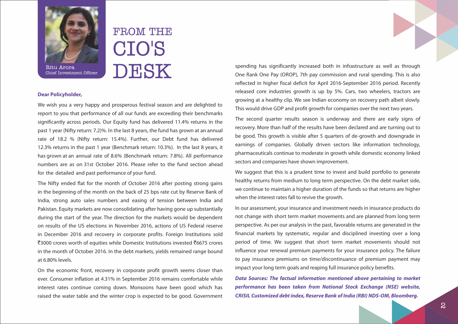

Chief Investment Officer

# FROM THE CIO'S DESK

#### **Dear Policyholder,**

We wish you a very happy and prosperous festival season and are delighted to report to you that performance of all our funds are exceeding their benchmarks significantly across periods. Our Equity fund has delivered 11.4% returns in the past 1 year (Nifty return: 7.2)%. In the last 8 years, the fund has grown at an annual rate of 18.2 % (Nifty return: 15.4%). Further, our Debt fund has delivered 12.3% returns in the past 1 year (Benchmark return: 10.3%). In the last 8 years, it has grown at an annual rate of 8.6% (Benchmark return: 7.8%). All performance numbers are as on 31st October 2016. Please refer to the fund section ahead for the detailed and past performance of your fund.

The Nifty ended flat for the month of October 2016 after posting strong gains in the beginning of the month on the back of 25 bps rate cut by Reserve Bank of India, strong auto sales numbers and easing of tension between India and Pakistan. Equity markets are now consolidating after having gone up substantially during the start of the year. The direction for the markets would be dependent on results of the US elections in November 2016, actions of US Federal reserve in December 2016 and recovery in corporate profits. Foreign Institutions sold `3000 crores worth of equities while Domestic Institutions invested `6675 crores in the month of October 2016. In the debt markets, yields remained range bound at 6.80% levels.

On the economic front, recovery in corporate profit growth seems closer than ever. Consumer inflation at 4.31% in September 2016 remains comfortable while interest rates continue coming down. Monsoons have been good which has raised the water table and the winter crop is expected to be good. Government spending has significantly increased both in infrastructure as well as through One Rank One Pay (OROP), 7th pay commission and rural spending. This is also reflected in higher fiscal deficit for April 2016-September 2016 period. Recently released core industries growth is up by 5%. Cars, two wheelers, tractors are growing at a healthy clip. We see Indian economy on recovery path albeit slowly. This would drive GDP and profit growth for companies over the next two years.

The second quarter results season is underway and there are early signs of recovery. More than half of the results have been declared and are turning out to be good. This growth is visible after 5 quarters of de-growth and downgrade in earnings of companies. Globally driven sectors like information technology, pharmaceuticals continue to moderate in growth while domestic economy linked sectors and companies have shown improvement.

We suggest that this is a prudent time to invest and build portfolio to generate healthy returns from medium to long term perspective. On the debt market side, we continue to maintain a higher duration of the funds so that returns are higher when the interest rates fall to revive the growth.

In our assessment, your insurance and investment needs in insurance products do not change with short term market movements and are planned from long term perspective. As per our analysis in the past, favorable returns are generated in the financial markets by systematic, regular and disciplined investing over a long period of time. We suggest that short term market movements should not influence your renewal premium payments for your insurance policy. The failure to pay insurance premiums on time/discontinuance of premium payment may impact your long term goals and reaping full insurance policy benefits.

**Data Sources: The factual information mentioned above pertaining to market performance has been taken from National Stock Exchange (NSE) website, CRISIL Customized debt index, Reserve Bank of India (RBI) NDS-OM, Bloomberg.**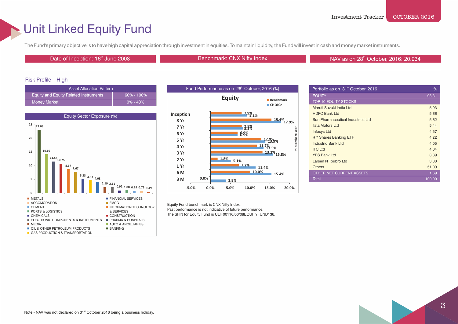### Unit Linked Equity Fund

The Fund's primary objective is to have high capital appreciation through investment in equities. To maintain liquidity, the Fund will invest in cash and money market instruments.

Date of Inception: 16<sup>th</sup> June 2008 Benchmark: CNX Nifty Index

NAV as on 28<sup>th</sup> October, 2016: 20.934

### Risk Profile – High

| <b>Asset Allocation Pattern</b>       |                |
|---------------------------------------|----------------|
| Equity and Equity Related Instruments | $60\% - 100\%$ |
| <b>Money Market</b>                   | $0\% - 40\%$   |





Equity Fund benchmark is CNX Nifty Index. Past performance is not indicative of future performance. The SFIN for Equity Fund is ULIF00116/06/08EQUITYFUND136.

| Portfolio as on 31 <sup>st</sup> October, 2016 | %      |
|------------------------------------------------|--------|
| <b>EQUITY</b>                                  | 98.31  |
| <b>TOP 10 EQUITY STOCKS</b>                    |        |
| Maruti Suzuki India Ltd                        | 5.93   |
| <b>HDFC Bank Ltd</b>                           | 5.66   |
| Sun Pharmaceutical Industries Ltd              | 5.62   |
| <b>Tata Motors Ltd</b>                         | 5.44   |
| <b>Infosys Ltd</b>                             | 4.57   |
| R <sup>*</sup> Shares Banking ETF              | 4.22   |
| IndusInd Bank Ltd                              | 4.05   |
| <b>ITC Ltd</b>                                 | 4.04   |
| <b>YES Bank Ltd</b>                            | 3.89   |
| Larsen N Toubro Ltd                            | 3.80   |
| <b>Others</b>                                  | 51.09  |
| OTHER NET CURRENT ASSETS                       | 1.69   |
| <b>Total</b>                                   | 100.00 |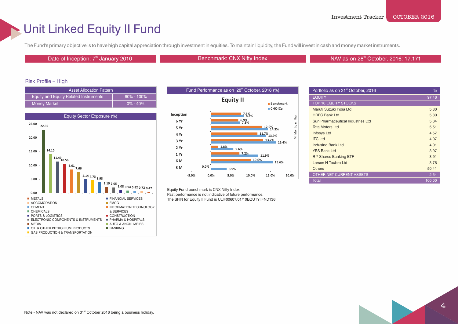### Unit Linked Equity II Fund

The Fund's primary objective is to have high capital appreciation through investment in equities. To maintain liquidity, the Fund will invest in cash and money market instruments.

Date of Inception: 7<sup>th</sup> January 2010 **Benchmark: CNX Nifty Index NAV as on the State of Index NAV as on index** 

NAV as on 28<sup>th</sup> October, 2016: 17.171

### Risk Profile – High

| <b>Asset Allocation Pattern</b>                    |                |
|----------------------------------------------------|----------------|
| Equity and Equity Related Instruments <sup>1</sup> | $60\% - 100\%$ |
| <b>Money Market</b>                                | $0\% - 40\%$   |





Equity Fund benchmark is CNX Nifty Index.

Past performance is not indicative of future performance. The SFIN for Equity II Fund is ULIF00607/01/10EQUTYIIFND136

| Portfolio as on 31 <sup>st</sup> October, 2016 | %      |
|------------------------------------------------|--------|
| <b>EQUITY</b>                                  | 97.46  |
| <b>TOP 10 EQUITY STOCKS</b>                    |        |
| Maruti Suzuki India Ltd                        | 5.80   |
| <b>HDFC Bank Ltd</b>                           | 5.80   |
| Sun Pharmaceutical Industries Ltd              | 5.64   |
| <b>Tata Motors Ltd</b>                         | 5.51   |
| <b>Infosys Ltd</b>                             | 4.57   |
| <b>ITC Ltd</b>                                 | 4.07   |
| IndusInd Bank Ltd                              | 4.01   |
| <b>YES Bank Ltd</b>                            | 3.97   |
| R <sup>*</sup> Shares Banking ETF              | 3.91   |
| Larsen N Toubro Ltd                            | 3.76   |
| <b>Others</b>                                  | 50.41  |
| OTHER NET CURRENT ASSETS                       | 2.54   |
| <b>Total</b>                                   | 100.00 |

Note:- NAV was not declared on 31<sup>st</sup> October 2016 being a business holiday.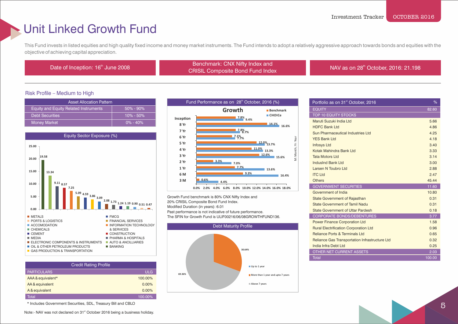### Unit Linked Growth Fund

This Fund invests in listed equities and high quality fixed income and money market instruments. The Fund intends to adopt a relatively aggressive approach towards bonds and equities with the objective of achieving capital appreciation.

th Date of Inception: 16<sup>th</sup> June 2008 Benchmark: CNX Nifty Index and<br>Concursion Company Company Panel Fund Index ERIGINIAN. CIVA NIITY INDEX AND MILE AND SERVICE IN A VIOLET SERVICE IN A CRISIL Composite Bond Fund Index NAV as on 28<sup>th</sup> October, 2016: 21.198

### Risk Profile – Medium to High

| <b>Asset Allocation Pattern</b>              |               |  |
|----------------------------------------------|---------------|--|
| <b>Equity and Equity Related Instruments</b> | $50\% - 90\%$ |  |
| <b>Debt Securities</b>                       | $10\% - 50\%$ |  |
| <b>Money Market</b>                          | $10\% - 40\%$ |  |



| <b>Credit Rating Profile</b> |            |
|------------------------------|------------|
| <b>PARTICULARS</b>           | <b>ULG</b> |
| AAA & equivalent*            | 100.00%    |
| AA & equivalent              | 0.00%      |
| A & equivalent               | 0.00%      |
| Total                        | 100.00%    |

\* Includes Government Securities, SDL, Treasury Bill and CBLO

Note:- NAV was not declared on 31<sup>st</sup> October 2016 being a business holiday.



Growth Fund benchmark is 80% CNX Nifty Index and 20% CRISIL Composite Bond Fund Index. Modified Duration (in years): 6.01 Past performance is not indicative of future performance. The SFIN for Growth Fund is ULIF00216/06/08GROWTHFUND136.



| Portfolio as on 31 <sup>st</sup> October, 2016 | %      |
|------------------------------------------------|--------|
| <b>EQUITY</b>                                  | 82.60  |
| <b>TOP 10 EQUITY STOCKS</b>                    |        |
| Maruti Suzuki India Ltd                        | 5.66   |
| <b>HDFC Bank Ltd</b>                           | 4.86   |
| Sun Pharmaceutical Industries Ltd              | 4.25   |
| <b>YES Bank Ltd</b>                            | 4.18   |
| <b>Infosys Ltd</b>                             | 3.40   |
| Kotak Mahindra Bank Ltd                        | 3.33   |
| Tata Motors I td                               | 3.14   |
| <b>IndusInd Bank Ltd</b>                       | 3.00   |
| <b>Larsen N Toubro Ltd</b>                     | 2.88   |
| <b>ITC Ltd</b>                                 | 2.47   |
| <b>Others</b>                                  | 45.44  |
| <b>GOVERNMENT SECURITIES</b>                   | 11.60  |
| Government of India                            | 10.80  |
| <b>State Government of Rajasthan</b>           | 0.31   |
| State Government of Tamil Nadu                 | 0.31   |
| <b>State Government of Uttar Pardesh</b>       | 0.18   |
| <b>CORPORATE BONDS/DEBENTURES</b>              | 3.77   |
| <b>Power Finance Corporation Ltd</b>           | 1.58   |
| <b>Rural Electrification Corporation Ltd</b>   | 0.96   |
| Reliance Ports & Terminals Ltd                 | 0.65   |
| Reliance Gas Transportation Infrastructure Ltd | 0.32   |
| India Infra Debt Ltd                           | 0.25   |
| OTHER NET CURRENT ASSETS                       | 2.03   |
| <b>Total</b>                                   | 100.00 |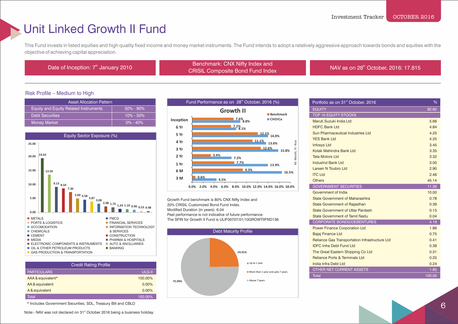### Unit Linked Growth II Fund

This Fund invests in listed equities and high quality fixed income and money market instruments. The Fund intends to adopt a relatively aggressive approach towards bonds and equities with the objective of achieving capital appreciation.

Benchmark: CNX Nifty Index and<br>Date of Inception: 7<sup>th</sup> January 2010 Benchmark: CNX Nifty Index and ECRISIL Composite Bond Fund Index NAV as on 28<sup>th</sup> October, 2016: 17.815

#### Risk Profile – Medium to High

| <b>Asset Allocation Pattern</b>              |               |  |
|----------------------------------------------|---------------|--|
| <b>Equity and Equity Related Instruments</b> | $50\% - 90\%$ |  |
| <b>Debt Securities</b>                       | $10\% - 50\%$ |  |
| <b>Money Market</b>                          | $0\% - 40\%$  |  |



| <b>Credit Rating Profile</b> |         |
|------------------------------|---------|
| <b>PARTICULARS</b>           | ULG-II  |
| AAA & equivalent*            | 100.00% |
| AA & equivalent              | 0.00%   |
| A & equivalent               | 0.00%   |
| <b>Total</b>                 | 100.00% |

\* Includes Government Securities, SDL, Treasury Bill and CBLO

Note:- NAV was not declared on 31<sup>st</sup> October 2016 being a business holiday.



Growth Fund benchmark is 80% CNX Nifty Index and 20% CRISIL Customized Bond Fund Index. Modified Duration (in years): 6.04 Past performance is not indicative of future performance. The SFIN for Growth II Fund is ULIF00707/01/10GROWTIIFND136



| Portfolio as on 31 <sup>st</sup> October, 2016 | %      |
|------------------------------------------------|--------|
| <b>EQUITY</b>                                  | 82.60  |
| <b>TOP 10 EQUITY STOCKS</b>                    |        |
| Maruti Suzuki India Ltd                        | 5.66   |
| <b>HDFC Bank Ltd</b>                           | 4.84   |
| Sun Pharmaceutical Industries Ltd              | 4.25   |
| <b>YES Bank Ltd</b>                            | 4.25   |
| <b>Infosys Ltd</b>                             | 3.45   |
| Kotak Mahindra Bank Ltd                        | 3.35   |
| <b>Tata Motors Ltd</b>                         | 3.32   |
| IndusInd Bank Ltd                              | 3.00   |
| Larsen N Toubro Ltd                            | 2.90   |
| <b>ITC Ltd</b>                                 | 2.46   |
| <b>Others</b>                                  | 45.14  |
| <b>GOVERNMENT SECURITIES</b>                   | 11.36  |
| Government of India                            | 10.00  |
| State Government of Maharashtra                | 0.78   |
| <b>State Government of Rajasthan</b>           | 0.39   |
| <b>State Government of Uttar Pardesh</b>       | 0.15   |
| State Government of Tamil Nadu                 | 0.04   |
| <b>CORPORATE BONDS/DEBENTURES</b>              | 4.19   |
| <b>Power Finance Corporation Ltd</b>           | 1.86   |
| <b>Bajaj Finance Ltd</b>                       | 0.75   |
| Reliance Gas Transportation Infrastructure Ltd | 0.41   |
| <b>IDFC Infra Debt Fund Ltd</b>                | 0.38   |
| The Great Eastern Shipping Co Ltd              | 0.31   |
| <b>Reliance Ports &amp; Terminals Ltd</b>      | 0.25   |
| India Infra Debt Ltd                           | 0.24   |
| OTHER NET CURRENT ASSETS                       | 1.85   |
| <b>Total</b>                                   | 100.00 |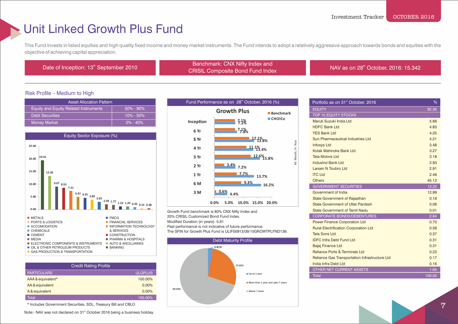### Unit Linked Growth Plus Fund

This Fund invests in listed equities and high quality fixed income and money market instruments. The Fund intends to adopt a relatively aggressive approach towards bonds and equities with the objective of achieving capital appreciation.

Benchmark: CNX Nifty Index and<br>CDICIL Composite Bond Fund Index and<br>CDICIL Composite Bond Fund Index CRISIL Composite Bond Fund Index

NAV as on 28<sup>th</sup> October, 2016: 15.342

### Risk Profile – Medium to High

| <b>Asset Allocation Pattern</b>              |               |  |
|----------------------------------------------|---------------|--|
| <b>Equity and Equity Related Instruments</b> | $50\% - 90\%$ |  |
| <b>Debt Securities</b>                       | $10\% - 50\%$ |  |
| <b>Money Market</b>                          | $0\% - 40\%$  |  |



| <b>Credit Rating Profile</b> |                |
|------------------------------|----------------|
| <b>PARTICULARS</b>           | <b>ULGPLUS</b> |
| AAA & equivalent*            | 100.00%        |
| AA & equivalent              | $0.00\%$       |
| A & equivalent               | $0.00\%$       |
| Total                        | 100.00%        |

\* Includes Government Securities, SDL, Treasury Bill and CBLO

Note:- NAV was not declared on 31<sup>st</sup> October 2016 being a business holiday.



Growth Fund benchmark is 80% CNX Nifty Index and 20% CRISIL Customized Bond Fund Index. Modified Duration (in years): 5.91 Past performance is not indicative of future performance. The SFIN for Growth Plus Fund is ULIF00913/09/10GROWTPLFND136.



| Portfolio as on 31 <sup>st</sup> October, 2016 | %      |
|------------------------------------------------|--------|
| <b>EQUITY</b>                                  | 82.30  |
| <b>TOP 10 EQUITY STOCKS</b>                    |        |
| Maruti Suzuki India Ltd                        | 5.66   |
| HDFC Bank I td                                 | 4.83   |
| <b>YES Bank Ltd</b>                            | 4.25   |
| Sun Pharmaceutical Industries Ltd              | 4.21   |
| <b>Infosys Ltd</b>                             | 3.48   |
| Kotak Mahindra Bank Ltd                        | 3.27   |
| Tata Motors I td                               | 3.18   |
| <b>IndusInd Bank Ltd</b>                       | 2.93   |
| Larsen N Toubro Ltd                            | 2.91   |
| <b>ITC Ltd</b>                                 | 2.46   |
| <b>Others</b>                                  | 45.12  |
| <b>GOVERNMENT SECURITIES</b>                   | 13.22  |
| Government of India                            | 12.99  |
| <b>State Government of Rajasthan</b>           | 0.16   |
| State Government of Uttar Pardesh              | 0.06   |
| <b>State Government of Tamil Nadu</b>          | 0.01   |
| <b>CORPORATE BONDS/DEBENTURES</b>              | 2.84   |
| <b>Power Finance Corporation Ltd</b>           | 0.70   |
| <b>Rural Electrification Corporation Ltd</b>   | 0.58   |
| <b>Tata Sons Ltd</b>                           | 0.37   |
| <b>IDFC Infra Debt Fund Ltd</b>                | 0.31   |
| <b>Bajaj Finance Ltd</b>                       | 0.31   |
| <b>Reliance Ports &amp; Terminals Ltd</b>      | 0.23   |
| Reliance Gas Transportation Infrastructure Ltd | 0.17   |
| India Infra Debt Ltd                           | 0.16   |
| OTHER NET CURRENT ASSETS                       | 1.65   |
| <b>Total</b>                                   | 100.00 |

7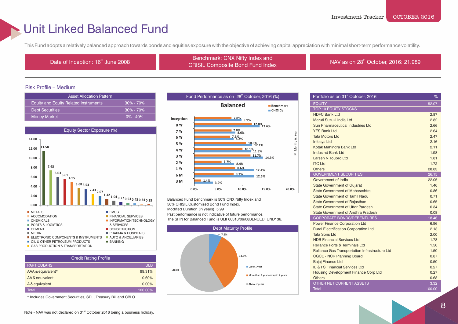### Unit Linked Balanced Fund

This Fund adopts a relatively balanced approach towards bonds and equities exposure with the objective of achieving capital appreciation with minimal short-term performance volatility.

th Date of Inception: 16<sup>th</sup> June 2008 Benchmark: CNX Nifty Index and Benchmark: CNX Nifty Index and CRISIL Composite Bond Fund Index

NAV as on 28<sup>th</sup> October, 2016: 21.989

### Risk Profile – Medium

| <b>Asset Allocation Pattern</b>              |               |
|----------------------------------------------|---------------|
| <b>Equity and Equity Related Instruments</b> | $30\% - 70\%$ |
| <b>Debt Securities</b>                       | $30\% - 70\%$ |
| Money Market                                 | $0\% - 40\%$  |



| <b>Credit Rating Profile</b> |            |
|------------------------------|------------|
| <b>PARTICULARS</b>           | <b>ULB</b> |
| AAA & equivalent*            | 99.31%     |
| AA & equivalent              | 0.69%      |
| A & equivalent               | 0.00%      |
| Total                        | 100.00%    |

\* Includes Government Securities, SDL, Treasury Bill and CBLO



Balanced Fund benchmark is 50% CNX Nifty Index and 50% CRISIL Customized Bond Fund Index. Modified Duration (in years): 5.99 Past performance is not indicative of future performance. The SFIN for Balanced Fund is ULIF00316/06/08BLNCEDFUND136.



| Portfolio as on 31 <sup>st</sup> October, 2016                       | %            |
|----------------------------------------------------------------------|--------------|
| <b>EQUITY</b>                                                        | 52.07        |
| <b>TOP 10 EQUITY STOCKS</b>                                          |              |
| <b>HDFC Bank Ltd</b>                                                 | 2.87         |
| Maruti Suzuki India Ltd                                              | 2.82         |
| Sun Pharmaceutical Industries Ltd                                    | 2.66         |
| <b>YES Bank Ltd</b>                                                  | 2.64         |
| <b>Tata Motors Ltd</b>                                               | 2.47         |
| <b>Infosys Ltd</b>                                                   | 2.16         |
| Kotak Mahindra Bank Ltd                                              | 2.11         |
| <b>IndusInd Bank Ltd</b>                                             | 1.98         |
| Larsen N Toubro Ltd                                                  | 1.81         |
| <b>ITC Ltd</b>                                                       | 1.72         |
| <b>Others</b>                                                        | 28.83        |
| <b>GOVERNMENT SECURITIES</b>                                         | 26.15        |
| Government of India                                                  | 22.05        |
| <b>State Government of Gujarat</b>                                   | 1.46         |
| State Government of Maharashtra                                      | 0.86         |
| State Government of Tamil Nadu                                       | 0.71         |
| <b>State Government of Rajasthan</b>                                 | 0.65         |
| <b>State Government of Uttar Pardesh</b>                             | 0.34         |
| State Government of Andhra Pradesh                                   | 0.08         |
| <b>CORPORATE BONDS/DEBENTURES</b>                                    | 18.46        |
| <b>Power Finance Corporation Ltd</b>                                 | 6.96         |
| <b>Rural Electrification Corporation Ltd</b><br><b>Tata Sons Ltd</b> | 2.13         |
| <b>HDB Financial Services Ltd</b>                                    | 2.00<br>1.78 |
| <b>Reliance Ports &amp; Terminals Ltd</b>                            | 1.50         |
| Reliance Gas Transportation Infrastructure Ltd                       | 1.50         |
| <b>CGCE - NCR Planning Board</b>                                     | 0.87         |
| <b>Bajaj Finance Ltd</b>                                             | 0.50         |
| IL & FS Financial Services Ltd                                       | 0.27         |
| <b>Housing Development Finance Corp Ltd</b>                          | 0.27         |
| <b>Others</b>                                                        | 0.68         |
| OTHER NET CURRENT ASSETS                                             | 3.32         |
| <b>Total</b>                                                         | 100.00       |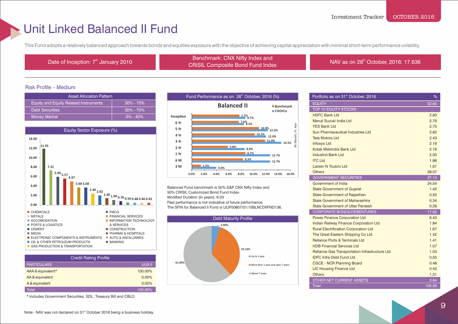### Unit Linked Balanced II Fund

This Fund adopts a relatively balanced approach towards bonds and equities exposure with the objective of achieving capital appreciation with minimal short-term performance volatility.

th Date of Inception: 7<sup>th</sup> January 2010 Benchmark: CNX Nifty Index and<br>
CHOW Contract in Results and the latter of the latter of the latter of the latter of the latter of the latter ENGITIAN. CIVA NITY TIGES AND MAN AS ON 28<sup>th</sup> October, 2016: 17.636<br>CRISIL Composite Bond Fund Index

#### Risk Profile – Medium

| <b>Asset Allocation Pattern</b>              |               |
|----------------------------------------------|---------------|
| <b>Equity and Equity Related Instruments</b> | $30\% - 70\%$ |
| <b>Debt Securities</b>                       | $30\% - 70\%$ |
| <b>Money Market</b>                          | $0\% - 40\%$  |



| <b>Credit Rating Profile</b> |          |
|------------------------------|----------|
| <b>PARTICULARS</b>           | ULB-II   |
| AAA & equivalent*            | 100.00%  |
| AA & equivalent              | $0.00\%$ |
| A & equivalent               | $0.00\%$ |
| <b>Total</b>                 | 100.00%  |

\* Includes Government Securities, SDL, Treasury Bill and CBLO



Balanced Fund benchmark is 50% S&P CNX Nifty Index and 50% CRISIL Customized Bond Fund Index. Modified Duration (in years): 6.03 Past performance is not indicative of future performance. The SFIN for Balanced II Fund is ULIF00807/01/10BLNCDIIFND136.



| Portfolio as on 31 <sup>st</sup> October, 2016        | %      |
|-------------------------------------------------------|--------|
| <b>EQUITY</b>                                         | 52.60  |
| <b>TOP 10 EQUITY STOCKS</b>                           |        |
| <b>HDFC Bank Ltd</b>                                  | 2.93   |
| Maruti Suzuki India Ltd                               | 2.79   |
| <b>YES Bank Ltd</b>                                   | 2.75   |
| Sun Pharmaceutical Industries Ltd                     | 2.62   |
| <b>Tata Motors Ltd</b>                                | 2.43   |
| <b>Infosys Ltd</b>                                    | 2.18   |
| Kotak Mahindra Bank Ltd                               | 2.16   |
| IndusInd Bank Ltd                                     | 2.00   |
| <b>ITC Ltd</b>                                        | 1.86   |
| Larsen N Toubro Ltd                                   | 1.81   |
| <b>Others</b>                                         | 29.07  |
| <b>GOVERNMENT SECURITIES</b>                          | 27.13  |
| Government of India                                   | 24.54  |
| <b>State Government of Gujarat</b>                    | 1.42   |
| <b>State Government of Rajasthan</b>                  | 0.55   |
| State Government of Maharashtra                       | 0.34   |
| <b>State Government of Uttar Pardesh</b>              | 0.28   |
| <b>CORPORATE BONDS/DEBENTURES</b>                     | 17.62  |
| <b>Power Finance Corporation Ltd</b>                  | 6.43   |
| <b>Indian Railway Finance Corporation Ltd</b>         | 1.84   |
| <b>Rural Electrification Corporation Ltd</b>          | 1.67   |
| The Great Eastern Shipping Co Ltd                     | 1.42   |
| <b>Reliance Ports &amp; Terminals Ltd.</b>            | 1.41   |
| <b>HDB Financial Services Ltd</b>                     | 1.07   |
| <b>Reliance Gas Transportation Infrastructure Ltd</b> | 1.03   |
| <b>IDFC Infra Debt Fund Ltd</b>                       | 0.55   |
| <b>CGCE - NCR Planning Board</b>                      | 0.48   |
| <b>LIC Housing Finance Ltd</b>                        | 0.43   |
| <b>Others</b>                                         | 1.31   |
| OTHER NET CURRENT ASSETS                              | 2.64   |
| Total                                                 | 100.00 |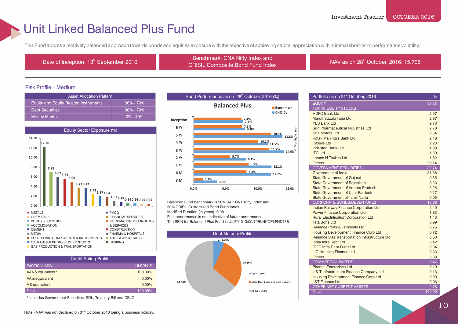### Unit Linked Balanced Plus Fund

This Fund adopts a relatively balanced approach towards bonds and equities exposure with the objective of achieving capital appreciation with minimal short-term performance volatility.

th Date of Inception: 13<sup>th</sup> September 2010 Benchmark: CNX Nifty Index and<br>CRIOW Benchmark: CNX Nifty Index and ENGITIME CONSINUITY INDEX AND INDEX NAV AS ON 28<sup>th</sup> October, 2016: 15.705<br>CRISIL Composite Bond Fund Index

### Risk Profile – Medium

| <b>Asset Allocation Pattern</b>              |               |
|----------------------------------------------|---------------|
| <b>Equity and Equity Related Instruments</b> | $30\% - 70\%$ |
| <b>Debt Securities</b>                       | $30\% - 70\%$ |
| <b>Money Market</b>                          | $0\% - 40\%$  |



| <b>Credit Rating Profile</b> |  |
|------------------------------|--|
| <b>ULBPLUS</b>               |  |
| 100.00%                      |  |
| $0.00\%$                     |  |
| 0.00%                        |  |
| 100.00%                      |  |
|                              |  |

\* Includes Government Securities, SDL, Treasury Bill and CBLO



Balanced Fund benchmark is 50% S&P CNX Nifty Index and 50% CRISIL Customized Bond Fund Index. Modified Duration (in years): 6.08 Past performance is not indicative of future performance. The SFIN for Balanced Plus Fund is ULIF01013/09/10BLNCDPLFND136.



| Portfolio as on 31 <sup>st</sup> October, 2016 | %      |
|------------------------------------------------|--------|
| <b>EQUITY</b>                                  | 53.33  |
| <b>TOP 10 EQUITY STOCKS</b>                    |        |
| <b>HDFC Bank Ltd</b>                           | 2.97   |
| Maruti Suzuki India Ltd                        | 2.87   |
| <b>YES Bank Ltd</b>                            | 2.73   |
| Sun Pharmaceutical Industries Ltd              | 2.70   |
| Tata Motors I td                               | 2.54   |
| Kotak Mahindra Bank Ltd                        | 2.46   |
| <b>Infosys Ltd</b>                             | 2.23   |
| <b>IndusInd Bank Ltd</b>                       | 1.98   |
| <b>ITC Ltd</b>                                 | 1.89   |
| Larsen N Toubro Ltd                            | 1.82   |
| <b>Others</b>                                  | 29.14  |
| <b>GOVERNMENT SECURITIES</b>                   | 32.74  |
| Government of India                            | 31.58  |
| <b>State Government of Gujarat</b>             | 0.35   |
| <b>State Government of Rajasthan</b>           | 0.33   |
| <b>State Government of Andhra Pradesh</b>      | 0.25   |
| <b>State Government of Uttar Pardesh</b>       | 0.17   |
| <b>State Government of Tamil Nadu</b>          | 0.05   |
| <b>CORPORATE BONDS/DEBENTURES</b>              | 10.68  |
| Indian Railway Finance Corporation Ltd         | 2.40   |
| <b>Power Finance Corporation Ltd</b>           | 1.83   |
| <b>Rural Electrification Corporation Ltd</b>   | 1.43   |
| <b>Tata Sons Ltd</b>                           | 0.99   |
| <b>Reliance Ports &amp; Terminals Ltd</b>      | 0.75   |
| <b>Housing Development Finance Corp Ltd</b>    | 0.72   |
| Reliance Gas Transportation Infrastructure Ltd | 0.58   |
| India Infra Debt Ltd                           | 0.42   |
| <b>IDFC Infra Debt Fund Ltd</b>                | 0.34   |
| <b>LIC Housing Finance Ltd</b>                 | 0.33   |
| <b>Others</b>                                  | 0.88   |
| <b>COMMERCIAL PAPERS</b>                       | 0.47   |
| <b>Piramal Enterprises Ltd</b>                 | 0.19   |
| L & T Infrastructure Finance Company Ltd       | 0.13   |
| <b>Housing Development Finance Corp Ltd</b>    | 0.09   |
| <b>L&amp;T Finance Ltd</b>                     | 0.06   |
| OTHER NET CURRENT ASSETS                       | 2.78   |
| <b>Total</b>                                   | 100.00 |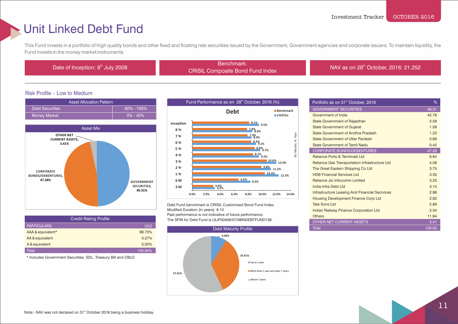### Unit Linked Debt Fund

This Fund invests in a portfolio of high quality bonds and other fixed and floating rate securities issued by the Government, Government agencies and corporate issuers. To maintain liquidity, the Fund invests in the money market instruments.

Benchmark:<br>Date of Inception: 9<sup>th</sup> July 2008 Benchmark: Experiment.<br>CRISIL Composite Bond Fund Index NAV as on 28<sup>th</sup> October, 2016: 21.252

### Risk Profile – Low to Medium





| <b>Credit Rating Profile</b> |            |
|------------------------------|------------|
| <b>PARTICULARS</b>           | <b>ULD</b> |
| AAA & equivalent*            | 99.73%     |
| AA & equivalent              | 0.27%      |
| A & equivalent               | $0.00\%$   |
| Total                        | 100.00%    |

\* Includes Government Securities, SDL, Treasury Bill and CBLO



Debt Fund benchmark is CRISIL Customized Bond Fund Index. Modified Duration (in years): 6.10 Past performance is not indicative of future performance. The SFIN for Debt Fund is ULIF00409/07/08INDEBTFUND136.



| Portfolio as on 31 <sup>st</sup> October, 2016        | %      |
|-------------------------------------------------------|--------|
| <b>GOVERNMENT SECURITIES</b>                          | 49.31  |
| Government of India                                   | 42.78  |
| <b>State Government of Rajasthan</b>                  | 2.59   |
| <b>State Government of Gujarat</b>                    | 1.59   |
| State Government of Andhra Pradesh                    | 1.23   |
| <b>State Government of Uttar Pardesh</b>              | 0.69   |
| State Government of Tamil Nadu                        | 0.42   |
| <b>CORPORATE BONDS/DEBENTURES</b>                     | 47.28  |
| <b>Reliance Ports &amp; Terminals Ltd</b>             | 6.64   |
| <b>Reliance Gas Transportation Infrastructure Ltd</b> | 4.08   |
| The Great Eastern Shipping Co Ltd                     | 3.75   |
| <b>HDB Financial Services Ltd</b>                     | 3.35   |
| Reliance Jio Infocomm Limited                         | 3.25   |
| India Infra Debt Ltd                                  | 3.15   |
| <b>Infrastructure Leasing And Financial Secrvices</b> | 2.96   |
| <b>Housing Development Finance Corp Ltd</b>           | 2.92   |
| Tata Sons Ltd                                         | 2.89   |
| <b>Indian Railway Finance Corporation Ltd</b>         | 2.34   |
| <b>Others</b>                                         | 11.94  |
| OTHER NET CURRENT ASSETS                              | 3.41   |
| Total                                                 | 100.00 |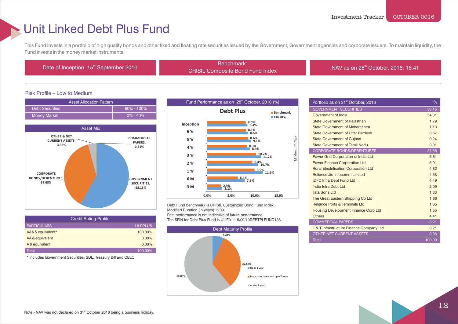### Unit Linked Debt Plus Fund

This Fund invests in a portfolio of high quality bonds and other fixed and floating rate securities issued by the Government, Government agencies and corporate issuers. To maintain liquidity, the Fund invests in the money market instruments.

Benchmark:<br>Date of Inception: 15<sup>th</sup> September 2010 Benchmark:

CRISIL Composite Bond Fund Index

NAV as on 28<sup>th</sup> October, 2016: 16.41

### Risk Profile – Low to Medium





| <b>Credit Rating Profile</b> |                |
|------------------------------|----------------|
| <b>PARTICULARS</b>           | <b>ULDPLUS</b> |
| AAA & equivalent*            | 100.00%        |
| AA & equivalent              | $0.00\%$       |
| A & equivalent               | $0.00\%$       |
| Total                        | $100.00\%$     |

\* Includes Government Securities, SDL, Treasury Bill and CBLO



Debt Fund benchmark is CRISIL Customized Bond Fund Index. Modified Duration (in years): 6.09 Past performance is not indicative of future performance. The SFIN for Debt Plus Fund is ULIF01115/09/10DEBTPLFUND136.



| Portfolio as on 31 <sup>st</sup> October, 2016 | %      |
|------------------------------------------------|--------|
| <b>GOVERNMENT SECURITIES</b>                   | 58.15  |
| Government of India                            | 54.31  |
| <b>State Government of Rajasthan</b>           | 1.79   |
| State Government of Maharashtra                | 1.13   |
| <b>State Government of Uttar Pardesh</b>       | 0.67   |
| <b>State Government of Gujarat</b>             | 0.24   |
| State Government of Tamil Nadu                 | 0.01   |
| <b>CORPORATE BONDS/DEBENTURES</b>              | 37.68  |
| Power Grid Corporation of India Ltd            | 5.64   |
| <b>Power Finance Corporation Ltd</b>           | 5.01   |
| <b>Rural Electrification Corporation Ltd</b>   | 4.82   |
| Reliance Jio Infocomm Limited                  | 4.53   |
| <b>IDEC Infra Debt Fund Ltd</b>                | 4 4 9  |
| India Infra Debt Ltd                           | 2.09   |
| <b>Tata Sons Ltd</b>                           | 1.83   |
| The Great Eastern Shipping Co Ltd              | 1.66   |
| <b>Reliance Ports &amp; Terminals Ltd</b>      | 1.65   |
| <b>Housing Development Finance Corp Ltd</b>    | 1.55   |
| <b>Others</b>                                  | 4.41   |
| <b>COMMERCIAL PAPERS</b>                       | 0.21   |
| L & T Infrastructure Finance Company Ltd       | 0.21   |
| <b>OTHER NET CURRENT ASSETS</b>                | 3.96   |
| <b>Total</b>                                   | 100.00 |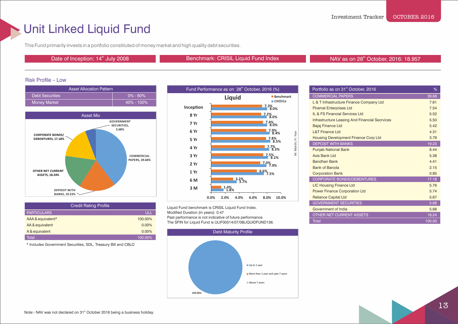### Unit Linked Liquid Fund

This Fund primarily invests in a portfolio constituted of money market and high quality debt securities.

Date of Inception: 14<sup>th</sup> July 2008 **Benchmark: CRISIL Liquid Fund Index** NAV as on 28<sup>th</sup> October, 2016: 18.957

#### Risk Profile – Low





| <b>Credit Rating Profile</b> |          |
|------------------------------|----------|
| <b>PARTICULARS</b>           | ULL      |
| AAA & equivalent*            | 100.00%  |
| AA & equivalent              | $0.00\%$ |
| A & equivalent               | 0.00%    |
| Total                        | 100.00%  |

\* Includes Government Securities, SDL, Treasury Bill and CBLO



Liquid Fund benchmark is CRISIL Liquid Fund Index. Modified Duration (in years): 0.47 Past performance is not indicative of future performance. The SFIN for Liquid Fund is ULIF00514/07/08LIQUIDFUND136.

**Debt Maturity Profile** 



| Portfolio as on 31 <sup>st</sup> October, 2016        | %      |
|-------------------------------------------------------|--------|
| <b>COMMERCIAL PAPERS</b>                              | 39.68  |
| L & T Infrastructure Finance Company Ltd              | 7.61   |
| <b>Piramal Enterprises Ltd</b>                        | 7.54   |
| IL & FS Financial Services Ltd                        | 5.52   |
| <b>Infrastructure Leasing And Financial Secrvices</b> | 5.50   |
| <b>Bajaj Finance Ltd</b>                              | 5.42   |
| <b>L&amp;T Finance Ltd</b>                            | 4.31   |
| Housing Development Finance Corp Ltd                  | 3.79   |
| <b>DEPOSIT WITH BANKS</b>                             | 19.23  |
| <b>Punjab National Bank</b>                           | 6.44   |
| Axis Bank Ltd                                         | 5.38   |
| <b>Bandhan Bank</b>                                   | 4 4 1  |
| <b>Bank of Baroda</b>                                 | 2.15   |
| <b>Corporation Bank</b>                               | 0.85   |
| <b>CORPORATE BONDS/DEBENTURES</b>                     | 17.18  |
| <b>LIC Housing Finance Ltd</b>                        | 5.76   |
| <b>Power Finance Corporation Ltd</b>                  | 5.74   |
| <b>Reliance Capital Ltd</b>                           | 5.67   |
| <b>GOVERNMENT SECURITIES</b>                          | 5.68   |
| Government of India                                   | 5.68   |
| <b>OTHER NET CURRENT ASSETS</b>                       | 18.24  |
| <b>Total</b>                                          | 100.00 |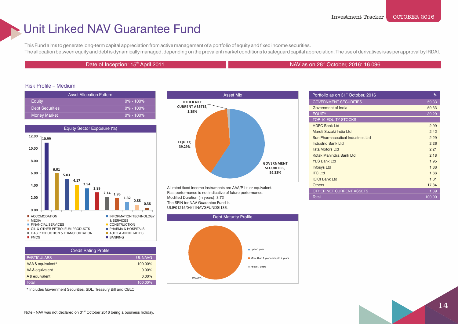### Unit Linked NAV Guarantee Fund

This Fund aims to generate long-term capital appreciation from active management of a portfolio of equity and fixed income securities. The allocation between equity and debt is dynamically managed, depending on the prevalent market conditions to safeguard capital appreciation. The use of derivatives is as per approval by IRDAI.

### Date of Inception: 15<sup>th</sup> April 2011

### NAV as on 28<sup>th</sup> October, 2016: 16.096

st Portfolio as on 31 October, 2016

#### Risk Profile – Medium

| <b>Asset Allocation Pattern</b> |               | <b>Asset Mix</b>                |
|---------------------------------|---------------|---------------------------------|
| Eauity                          | $0\% - 100\%$ | <b>OTHER NET</b>                |
| <b>Debt Securities</b>          | $0\% - 100\%$ | <b>CURRENT ASSETS,</b><br>1.39% |
| Money Market                    | $0\% - 100\%$ |                                 |



| <b>Credit Rating Profile</b> |                |
|------------------------------|----------------|
| <b>PARTICULARS</b>           | <b>UL-NAVG</b> |
| AAA & equivalent*            | 100.00%        |
| AA & equivalent              | $0.00\%$       |
| A & equivalent               | 0.00%          |
| Total                        | 100.00%        |

\* Includes Government Securities, SDL, Treasury Bill and CBLO



All rated fixed income instruments are AAA/P1 + or equivalent. Past performance is not indicative of future performance. Modified Duration (in years): 3.72 The SFIN for NAV Guarantee Fund is ULIF01215/04/11NAVGFUNDSI136.



| Portfolio as on 31 <sup>st</sup> October, 2016 | ℅      |
|------------------------------------------------|--------|
| <b>GOVERNMENT SECURITIES</b>                   | 59.33  |
| Government of India                            | 59.33  |
| <b>EQUITY</b>                                  | 39.29  |
| <b>TOP 10 EQUITY STOCKS</b>                    |        |
| <b>HDFC Bank Ltd</b>                           | 2.99   |
| Maruti Suzuki India Ltd                        | 2.42   |
| Sun Pharmaceutical Industries Ltd              | 2.29   |
| IndusInd Bank Ltd                              | 2.26   |
| <b>Tata Motors Ltd</b>                         | 2.21   |
| Kotak Mahindra Bank Ltd                        | 2.18   |
| <b>YES Bank Ltd</b>                            | 1.95   |
| <b>Infosys Ltd</b>                             | 1.88   |
| <b>ITC Ltd</b>                                 | 1.66   |
| <b>ICICI Bank Ltd</b>                          | 1.61   |
| <b>Others</b>                                  | 17.84  |
| <b>OTHER NET CURRENT ASSETS</b>                | 1.39   |
| <b>Total</b>                                   | 100.00 |
|                                                |        |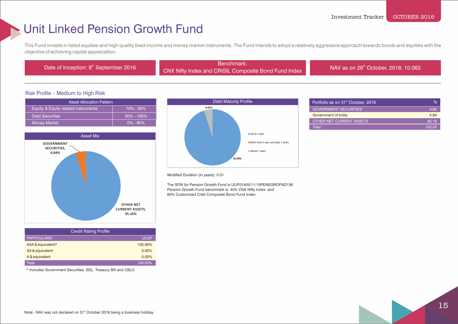### Unit Linked Pension Growth Fund

This Fund invests in listed equities and high quality fixed income and money market instruments. The Fund intends to adopt a relatively aggressive approach towards bonds and equities with the objective of achieving capital appreciation.

Benchmark:<br>Date of Inception: 8<sup>th</sup> September 2016 Benchmark: CNX Nifty Index and CRISIL Composite Bond Fund Index

NAV as on 28<sup>th</sup> October, 2016: 10.063

#### Risk Profile – Medium to High Risk

| <b>Asset Allocation Pattern</b>     |                |  |
|-------------------------------------|----------------|--|
| Equity & Equity related instruments | $10\% - 60\%$  |  |
| <b>Debt Securities</b>              | $20\% - 100\%$ |  |
| <b>Money Market</b>                 | $0\% - 80\%$   |  |



| <b>Credit Rating Profile</b> |             |  |
|------------------------------|-------------|--|
| <b>PARTICULARS</b>           | <b>ULGP</b> |  |
| AAA & equivalent*            | 100.00%     |  |
| AA & equivalent              | 0.00%       |  |
| A & equivalent               | 0.00%       |  |
| Total                        | 100.00%     |  |

\* Includes Government Securities, SDL, Treasury Bill and CBLO



| Portfolio as on 31 <sup>st</sup> October, 2016 | $\%$   |
|------------------------------------------------|--------|
| <b>GOVERNMENT SECURITIES</b>                   | 4.84   |
| Government of India                            | 4.84   |
| OTHER NET CURRENT ASSETS                       | 95.16  |
| Total                                          | 100.00 |

#### Modified Duration (in years): 0.31

 The SFIN for Pension Growth Fund is ULIF01405/11/15PENSGROFND136 Pension Growth Fund benchmark is 40% CNX Nifty Index and 60% Customized Crisil Composite Bond Fund Index